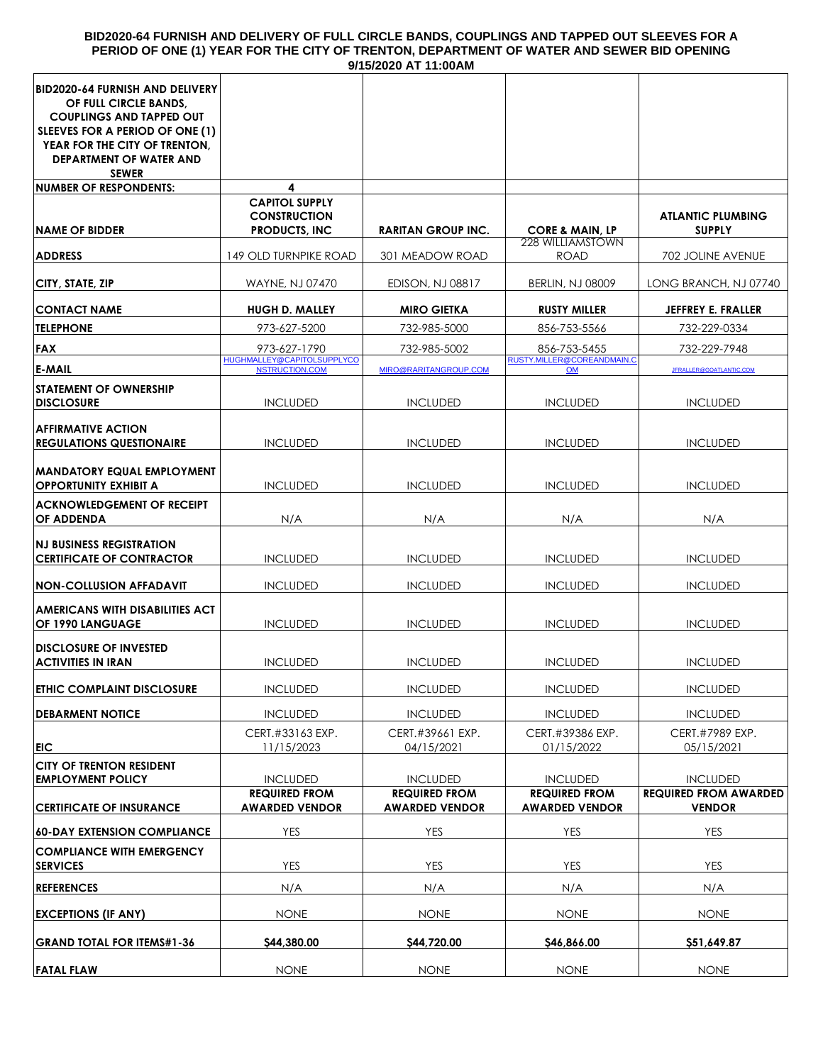#### **BID2020-64 FURNISH AND DELIVERY OF FULL CIRCLE BANDS, COUPLINGS AND TAPPED OUT SLEEVES FOR A PERIOD OF ONE (1) YEAR FOR THE CITY OF TRENTON, DEPARTMENT OF WATER AND SEWER BID OPENING 9/15/2020 AT 11:00AM**

|                                                                                                                                                                                                                          |                                                                       | וורשט.וו וחש שבשבועו וכ                       |                                                       |                                               |
|--------------------------------------------------------------------------------------------------------------------------------------------------------------------------------------------------------------------------|-----------------------------------------------------------------------|-----------------------------------------------|-------------------------------------------------------|-----------------------------------------------|
| <b>BID2020-64 FURNISH AND DELIVERY</b><br>OF FULL CIRCLE BANDS,<br><b>COUPLINGS AND TAPPED OUT</b><br>SLEEVES FOR A PERIOD OF ONE (1)<br>YEAR FOR THE CITY OF TRENTON,<br><b>DEPARTMENT OF WATER AND</b><br><b>SEWER</b> |                                                                       |                                               |                                                       |                                               |
| <b>NUMBER OF RESPONDENTS:</b>                                                                                                                                                                                            | 4                                                                     |                                               |                                                       |                                               |
| <b>NAME OF BIDDER</b>                                                                                                                                                                                                    | <b>CAPITOL SUPPLY</b><br><b>CONSTRUCTION</b><br><b>PRODUCTS, INC.</b> | <b>RARITAN GROUP INC.</b>                     | <b>CORE &amp; MAIN, LP</b><br><b>228 WILLIAMSTOWN</b> | <b>ATLANTIC PLUMBING</b><br><b>SUPPLY</b>     |
| <b>ADDRESS</b>                                                                                                                                                                                                           | 149 OLD TURNPIKE ROAD                                                 | 301 MEADOW ROAD                               | <b>ROAD</b>                                           | 702 JOLINE AVENUE                             |
| CITY, STATE, ZIP                                                                                                                                                                                                         | WAYNE, NJ 07470                                                       | <b>EDISON, NJ 08817</b>                       | <b>BERLIN, NJ 08009</b>                               | LONG BRANCH, NJ 07740                         |
| <b>CONTACT NAME</b>                                                                                                                                                                                                      | <b>HUGH D. MALLEY</b>                                                 | <b>MIRO GIETKA</b>                            | <b>RUSTY MILLER</b>                                   | <b>JEFFREY E. FRALLER</b>                     |
| <b>TELEPHONE</b>                                                                                                                                                                                                         | 973-627-5200                                                          | 732-985-5000                                  | 856-753-5566                                          | 732-229-0334                                  |
| FAX                                                                                                                                                                                                                      | 973-627-1790                                                          | 732-985-5002                                  | 856-753-5455                                          | 732-229-7948                                  |
| <b>E-MAIL</b>                                                                                                                                                                                                            | HUGHMALLEY@CAPITOLSUPPLYCO<br><b>NSTRUCTION.COM</b>                   | MIRO@RARITANGROUP.COM                         | RUSTY.MILLER@COREANDMAIN.C<br><b>OM</b>               | JFRALLER@GOATLANTIC.COM                       |
| <b>STATEMENT OF OWNERSHIP</b><br><b>DISCLOSURE</b>                                                                                                                                                                       | <b>INCLUDED</b>                                                       | <b>INCLUDED</b>                               | <b>INCLUDED</b>                                       | <b>INCLUDED</b>                               |
| <b>AFFIRMATIVE ACTION</b><br><b>REGULATIONS QUESTIONAIRE</b>                                                                                                                                                             | <b>INCLUDED</b>                                                       | <b>INCLUDED</b>                               | <b>INCLUDED</b>                                       | <b>INCLUDED</b>                               |
| <b>MANDATORY EQUAL EMPLOYMENT</b><br><b>OPPORTUNITY EXHIBIT A</b>                                                                                                                                                        | <b>INCLUDED</b>                                                       | <b>INCLUDED</b>                               | <b>INCLUDED</b>                                       | <b>INCLUDED</b>                               |
| <b>ACKNOWLEDGEMENT OF RECEIPT</b><br><b>OF ADDENDA</b>                                                                                                                                                                   | N/A                                                                   | N/A                                           | N/A                                                   | N/A                                           |
| <b>NJ BUSINESS REGISTRATION</b><br><b>CERTIFICATE OF CONTRACTOR</b>                                                                                                                                                      | <b>INCLUDED</b>                                                       | <b>INCLUDED</b>                               | <b>INCLUDED</b>                                       | <b>INCLUDED</b>                               |
| <b>NON-COLLUSION AFFADAVIT</b>                                                                                                                                                                                           | <b>INCLUDED</b>                                                       | <b>INCLUDED</b>                               | <b>INCLUDED</b>                                       | <b>INCLUDED</b>                               |
| <b>AMERICANS WITH DISABILITIES ACT</b><br>OF 1990 LANGUAGE                                                                                                                                                               | <b>INCLUDED</b>                                                       | <b>INCLUDED</b>                               | <b>INCLUDED</b>                                       | <b>INCLUDED</b>                               |
| <b>DISCLOSURE OF INVESTED</b><br><b>ACTIVITIES IN IRAN</b>                                                                                                                                                               | <b>INCLUDED</b>                                                       | <b>INCLUDED</b>                               | <b>INCLUDED</b>                                       | <b>INCLUDED</b>                               |
| <b>ETHIC COMPLAINT DISCLOSURE</b>                                                                                                                                                                                        | <b>INCLUDED</b>                                                       | <b>INCLUDED</b>                               | <b>INCLUDED</b>                                       | <b>INCLUDED</b>                               |
| <b>DEBARMENT NOTICE</b>                                                                                                                                                                                                  | <b>INCLUDED</b>                                                       | <b>INCLUDED</b>                               | <b>INCLUDED</b>                                       | <b>INCLUDED</b>                               |
| <b>EIC</b>                                                                                                                                                                                                               | CERT.#33163 EXP.<br>11/15/2023                                        | CERT.#39661 EXP.<br>04/15/2021                | CERT.#39386 EXP.<br>01/15/2022                        | CERT.#7989 EXP.<br>05/15/2021                 |
| <b>CITY OF TRENTON RESIDENT</b><br><b>EMPLOYMENT POLICY</b>                                                                                                                                                              | <b>INCLUDED</b>                                                       | <b>INCLUDED</b>                               | <b>INCLUDED</b>                                       | <b>INCLUDED</b>                               |
| <b>CERTIFICATE OF INSURANCE</b>                                                                                                                                                                                          | <b>REQUIRED FROM</b><br><b>AWARDED VENDOR</b>                         | <b>REQUIRED FROM</b><br><b>AWARDED VENDOR</b> | <b>REQUIRED FROM</b><br><b>AWARDED VENDOR</b>         | <b>REQUIRED FROM AWARDED</b><br><b>VENDOR</b> |
| <b>60-DAY EXTENSION COMPLIANCE</b>                                                                                                                                                                                       | <b>YES</b>                                                            | <b>YES</b>                                    | <b>YES</b>                                            | <b>YES</b>                                    |
| <b>COMPLIANCE WITH EMERGENCY</b><br><b>SERVICES</b>                                                                                                                                                                      | <b>YES</b>                                                            | <b>YES</b>                                    | <b>YES</b>                                            | <b>YES</b>                                    |
| <b>REFERENCES</b>                                                                                                                                                                                                        | N/A                                                                   | N/A                                           | N/A                                                   | N/A                                           |
| <b>EXCEPTIONS (IF ANY)</b>                                                                                                                                                                                               | <b>NONE</b>                                                           | <b>NONE</b>                                   | <b>NONE</b>                                           | <b>NONE</b>                                   |
| <b>GRAND TOTAL FOR ITEMS#1-36</b>                                                                                                                                                                                        | \$44,380.00                                                           | \$44,720.00                                   | \$46,866.00                                           | \$51,649.87                                   |
| <b>FATAL FLAW</b>                                                                                                                                                                                                        | <b>NONE</b>                                                           | <b>NONE</b>                                   | <b>NONE</b>                                           | <b>NONE</b>                                   |
|                                                                                                                                                                                                                          |                                                                       |                                               |                                                       |                                               |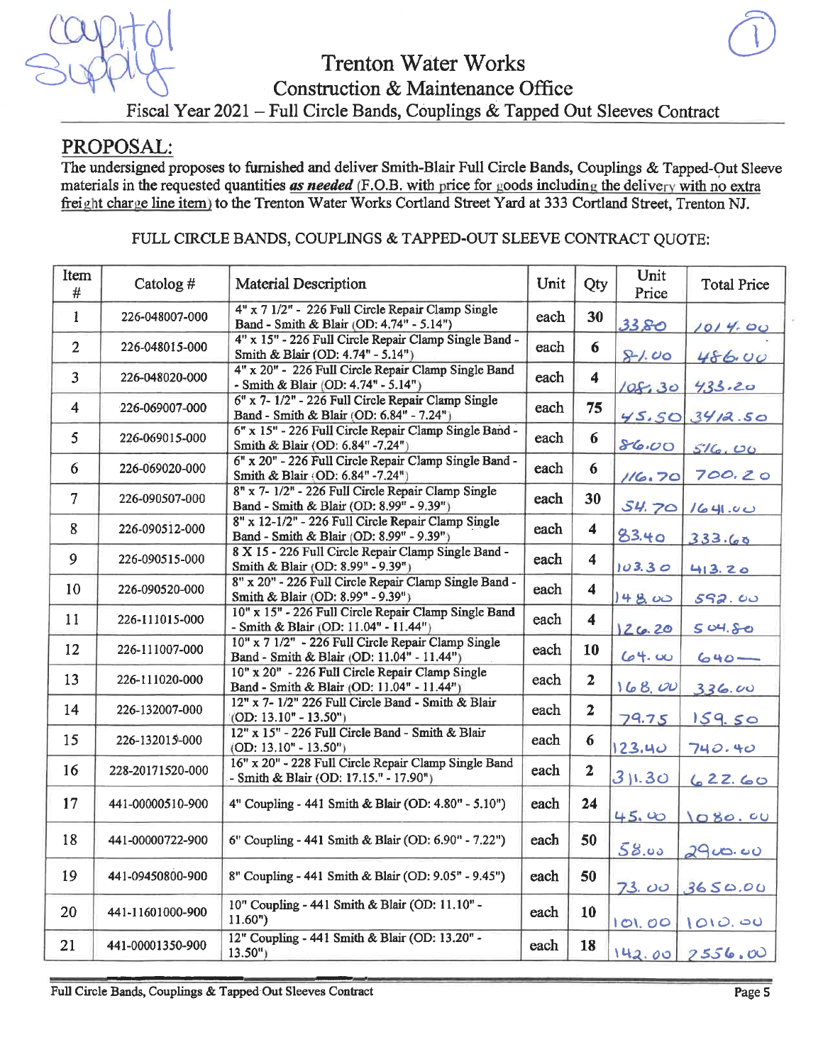

## PROPOSAL:

The undersigned proposes to furnished and deliver Smith-Blair Full Circle Bands, Couplings & Tapped-Out Sleeve materials in the requested quantities as needed (F.O.B. with price for goods including the delivery with no extra freight charge line item) to the Trenton Water Works Cortland Street Yard at 333 Cortland Street, Trenton NJ.

## FULL CIRCLE BANDS, COUPLINGS & TAPPED-OUT SLEEVE CONTRACT QUOTE:

| Item<br>#      | Catolog#         | Material Description                                                                             | Unit | Qty                  | Unit<br>Price | <b>Total Price</b> |
|----------------|------------------|--------------------------------------------------------------------------------------------------|------|----------------------|---------------|--------------------|
| $\mathbf{1}$   | 226-048007-000   | 4" x 7 1/2" - 226 Full Circle Repair Clamp Single<br>Band - Smith & Blair (OD: 4.74" - 5.14")    | each | 30                   | 33.80         | 1014.00            |
| $\overline{2}$ | 226-048015-000   | 4" x 15" - 226 Full Circle Repair Clamp Single Band -<br>Smith & Blair (OD: 4.74" - 5.14")       | each | 6                    | 81.00         | 486.00             |
| $\overline{3}$ | 226-048020-000   | 4" x 20" - 226 Full Circle Repair Clamp Single Band<br>- Smith & Blair (OD: 4.74" - 5.14")       | each | $\boldsymbol{4}$     | 108.30        | 433.20             |
| $\overline{4}$ | 226-069007-000   | 6" x 7- 1/2" - 226 Full Circle Repair Clamp Single<br>Band - Smith & Blair (OD: 6.84" - 7.24")   | each | 75                   | 45.50         | 3412.50            |
| 5              | 226-069015-000   | 6" x 15" - 226 Full Circle Repair Clamp Single Band -<br>Smith & Blair (OD: 6.84" -7.24")        | each | 6                    | 86.00         | 516.00             |
| 6              | 226-069020-000   | 6" x 20" - 226 Full Circle Repair Clamp Single Band -<br>Smith & Blair (OD: 6.84" -7.24")        | each | 6                    | 116.70        | 700.20             |
| $\overline{7}$ | 226-090507-000   | 8" x 7- 1/2" - 226 Full Circle Repair Clamp Single<br>Band - Smith & Blair (OD: 8.99" - 9.39")   | each | 30                   | 54.70         | 1641.00            |
| 8              | 226-090512-000   | 8" x 12-1/2" - 226 Full Circle Repair Clamp Single<br>Band - Smith & Blair (OD: 8.99" - 9.39")   | each | $\blacktriangleleft$ | 83.40         | 333.60             |
| 9              | 226-090515-000   | 8 X 15 - 226 Full Circle Repair Clamp Single Band -<br>Smith & Blair (OD: 8.99" - 9.39")         | each | $\overline{\bf{4}}$  | 103.30        | 413.20             |
| 10             | 226-090520-000   | 8" x 20" - 226 Full Circle Repair Clamp Single Band -<br>Smith & Blair (OD: 8.99" - 9.39")       | each | 4                    | 14800         | 592.00             |
| 11             | 226-111015-000   | 10" x 15" - 226 Full Circle Repair Clamp Single Band<br>- Smith & Blair (OD: 11.04" - 11.44")    | each | $\overline{\bf{4}}$  | 26.20         | 504.80             |
| 12             | 226-111007-000   | 10" x 7 1/2" - 226 Full Circle Repair Clamp Single<br>Band - Smith & Blair (OD: 11.04" - 11.44") | each | 10                   | 64.00         | $640 -$            |
| 13             | 226-111020-000   | 10" x 20" - 226 Full Circle Repair Clamp Single<br>Band - Smith & Blair (OD: 11.04" - 11.44")    | each | $\overline{2}$       | 168,00        | 336.00             |
| 14             | 226-132007-000   | 12" x 7-1/2" 226 Full Circle Band - Smith & Blair<br>$(OD: 13.10" - 13.50")$                     | each | $\overline{2}$       | 79.75         | 159.50             |
| 15             | 226-132015-000   | 12" x 15" - 226 Full Circle Band - Smith & Blair<br>$(OD: 13.10" - 13.50")$                      | each | $\boldsymbol{6}$     | 123.40        | 740.40             |
| 16             | 228-20171520-000 | 16" x 20" - 228 Full Circle Repair Clamp Single Band<br>- Smith & Blair (OD: 17.15." - 17.90")   | each | $\mathbf{2}$         | 31.30         | 62260              |
| 17             | 441-00000510-900 | 4" Coupling - 441 Smith & Blair (OD: 4.80" - 5.10")                                              | each | 24                   | 45.00         | 1080.00            |
| 18             | 441-00000722-900 | 6" Coupling - 441 Smith & Blair (OD: 6.90" - 7.22")                                              | each | 50                   | 58.00         | 2900.00            |
| 19             | 441-09450800-900 | 8" Coupling - 441 Smith & Blair (OD: 9.05" - 9.45")                                              | each | 50                   | 73.00         | 3650.00            |
| 20             | 441-11601000-900 | 10" Coupling - 441 Smith & Blair (OD: 11.10" -<br>11.60"                                         | each | 10                   | 101.00        | 1010.00            |
| 21             | 441-00001350-900 | 12" Coupling - 441 Smith & Blair (OD: 13.20" -<br>$13.50$ ")                                     | each | 18                   |               | $142.00$ $2556.00$ |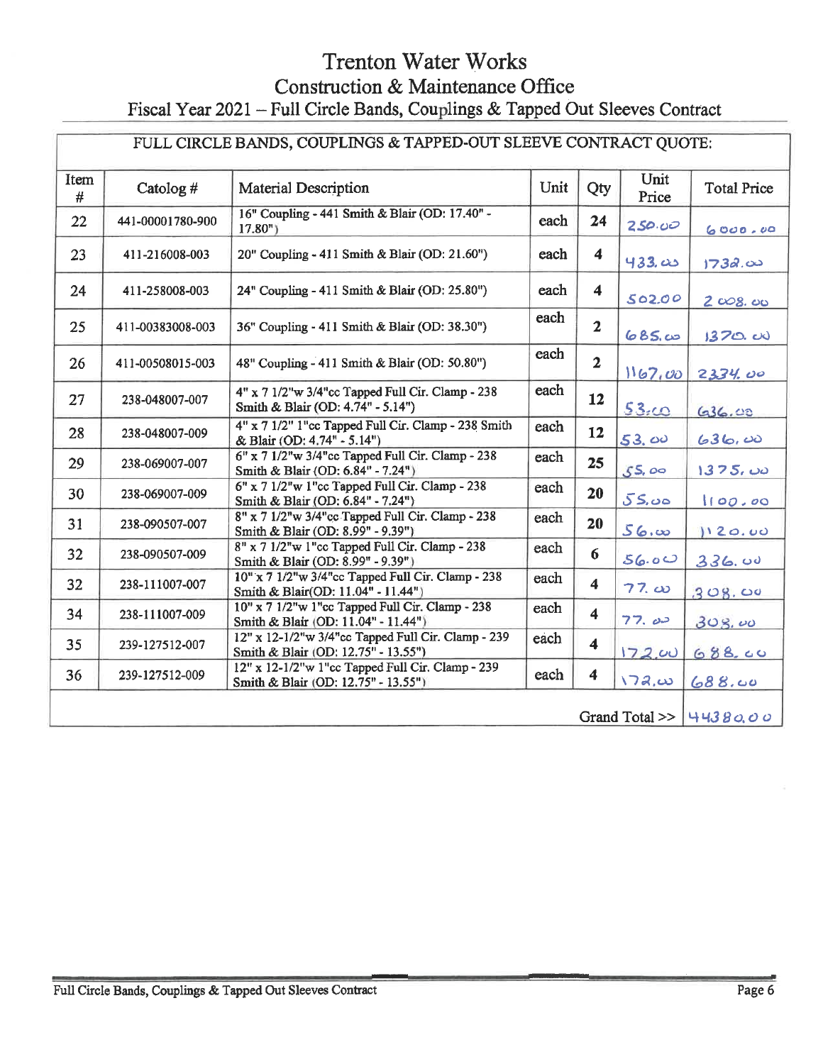|           | FULL CIRCLE BANDS, COUPLINGS & TAPPED-OUT SLEEVE CONTRACT QUOTE: |                                                                                           |      |                         |               |                    |
|-----------|------------------------------------------------------------------|-------------------------------------------------------------------------------------------|------|-------------------------|---------------|--------------------|
| Item<br># | Catolog #                                                        | <b>Material Description</b>                                                               | Unit | Qty                     | Unit<br>Price | <b>Total Price</b> |
| 22        | 441-00001780-900                                                 | 16" Coupling - 441 Smith & Blair (OD: 17.40" -<br>$17.80n$ )                              | each | 24                      | 250.00        | 6000.00            |
| 23        | 411-216008-003                                                   | 20" Coupling - 411 Smith & Blair (OD: 21.60")                                             | each | $\overline{\mathbf{4}}$ | 433.00        | 1732.00            |
| 24        | 411-258008-003                                                   | 24" Coupling - 411 Smith & Blair (OD: 25.80")                                             | each | $\overline{\mathbf{4}}$ | 502.00        | $2\cos\omega$      |
| 25        | 411-00383008-003                                                 | 36" Coupling - 411 Smith & Blair (OD: 38.30")                                             | each | $\overline{2}$          | 685.00        | 1370.00            |
| 26        | 411-00508015-003                                                 | 48" Coupling - 411 Smith & Blair (OD: 50.80")                                             | each | $\overline{2}$          | 1167,00       | 2334.00            |
| 27        | 238-048007-007                                                   | 4" x 7 1/2"w 3/4"cc Tapped Full Cir. Clamp - 238<br>Smith & Blair (OD: 4.74" - 5.14")     | each | 12                      | 53.00         | 636.00             |
| 28        | 238-048007-009                                                   | 4" x 7 1/2" 1"cc Tapped Full Cir. Clamp - 238 Smith<br>& Blair (OD: 4.74" - 5.14")        | each | 12                      | 53.00         | 636.00             |
| 29        | 238-069007-007                                                   | 6" x 7 1/2"w 3/4"cc Tapped Full Cir. Clamp - 238<br>Smith & Blair (OD: 6.84" - 7.24")     | each | 25                      | 55,00         | 1375,00            |
| 30        | 238-069007-009                                                   | $6"$ x $71/2"$ w 1"cc Tapped Full Cir. Clamp - 238<br>Smith & Blair (OD: 6.84" - 7.24")   | each | 20                      | 55.00         | 100.00             |
| 31        | 238-090507-007                                                   | 8" x 7 1/2"w 3/4"cc Tapped Full Cir. Clamp - 238<br>Smith & Blair (OD: 8.99" - 9.39")     | each | 20                      | 56.           | 120.00             |
| 32        | 238-090507-009                                                   | 8" x 7 1/2"w 1"cc Tapped Full Cir. Clamp - 238<br>Smith & Blair (OD: 8.99" - 9.39")       | each | 6                       | 56.00         | 336.00             |
| 32        | 238-111007-007                                                   | 10" x 7 1/2"w 3/4"cc Tapped Full Cir. Clamp - 238<br>Smith & Blair(OD: 11.04" - 11.44")   | each | $\overline{\mathbf{4}}$ | $77. \omega$  | 308.00             |
| 34        | 238-111007-009                                                   | 10" x 7 1/2"w 1"cc Tapped Full Cir. Clamp - 238<br>Smith & Blair (OD: 11.04" - 11.44")    | each | $\overline{\mathbf{4}}$ | 77.00         | 308.00             |
| 35        | 239-127512-007                                                   | 12" x 12-1/2"w 3/4"cc Tapped Full Cir. Clamp - 239<br>Smith & Blair (OD: 12.75" - 13.55") | each | $\overline{\mathbf{4}}$ | 172.00        | 688.00             |
| 36        | 239-127512-009                                                   | 12" x 12-1/2"w 1"cc Tapped Full Cir. Clamp - 239<br>Smith & Blair (OD: 12.75" - 13.55")   | each | $\boldsymbol{4}$        | <u>\72,ω</u>  | 688.00             |
|           | Grand Total $>>$<br>44380.00                                     |                                                                                           |      |                         |               |                    |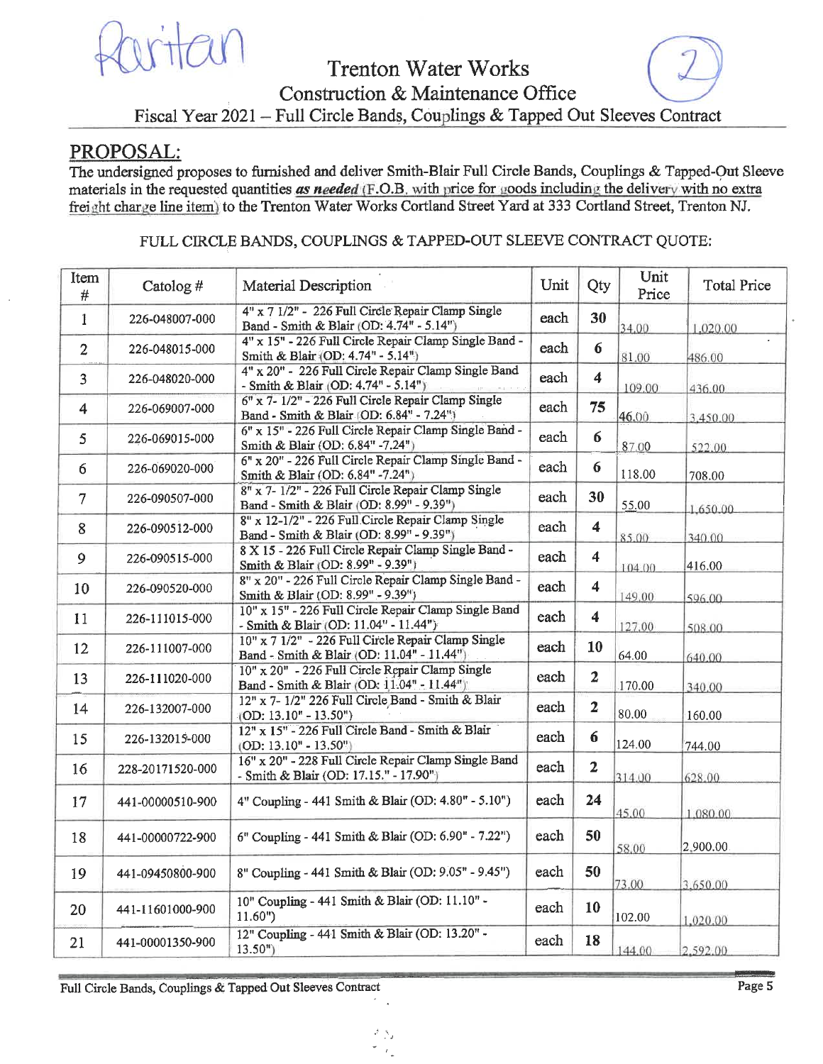

## PROPOSAL:

The undersigned proposes to furnished and deliver Smith-Blair Full Circle Bands, Couplings & Tapped-Out Sleeve materials in the requested quantities as needed (F.O.B. with price for goods including the delivery with no extra freight charge line item) to the Trenton Water Works Cortland Street Yard at 333 Cortland Street, Trenton NJ.

### FULL CIRCLE BANDS, COUPLINGS & TAPPED-OUT SLEEVE CONTRACT QUOTE:

| Item<br>#      | Catolog#         | Material Description                                                                             | Unit | Qty                     | Unit<br>Price | <b>Total Price</b> |
|----------------|------------------|--------------------------------------------------------------------------------------------------|------|-------------------------|---------------|--------------------|
| 1              | 226-048007-000   | 4" x 7 1/2" - 226 Full Circle Repair Clamp Single<br>Band - Smith & Blair (OD: 4.74" - 5.14")    | each | 30                      | 34.00         | 1.020.00           |
| $\overline{2}$ | 226-048015-000   | 4" x 15" - 226 Full Circle Repair Clamp Single Band -<br>Smith & Blair (OD: 4.74" - 5.14")       | each | 6                       | 81.00         | 486.00             |
| $\overline{3}$ | 226-048020-000   | 4" x 20" - 226 Full Circle Repair Clamp Single Band<br>- Smith & Blair (OD: 4.74" - 5.14")       | each | $\overline{\bf{4}}$     | 109.00        | 436.00             |
| $\overline{4}$ | 226-069007-000   | 6" x 7- 1/2" - 226 Full Circle Repair Clamp Single<br>Band - Smith & Blair (OD: 6.84" - 7.24")   | each | 75                      | 46.00         | 3,450.00           |
| 5              | 226-069015-000   | 6" x 15" - 226 Full Circle Repair Clamp Single Band -<br>Smith & Blair (OD: 6.84" -7.24")        | each | 6                       | 87.00         | 522.00             |
| 6              | 226-069020-000   | 6" x 20" - 226 Full Circle Repair Clamp Single Band -<br>Smith & Blair (OD: 6.84" -7.24")        | each | 6                       | 118.00        | 708.00             |
| $\overline{7}$ | 226-090507-000   | 8" x 7- 1/2" - 226 Full Circle Repair Clamp Single<br>Band - Smith & Blair (OD: 8.99" - 9.39")   | each | 30                      | 55.00         | 1,650.00           |
| 8              | 226-090512-000   | 8" x 12-1/2" - 226 Full Circle Repair Clamp Single<br>Band - Smith & Blair (OD: 8.99" - 9.39")   | each | 4                       | 85.00         | 340.00             |
| $\overline{9}$ | 226-090515-000   | 8 X 15 - 226 Full Circle Repair Clamp Single Band -<br>Smith & Blair (OD: 8.99" - 9.39")         | each | $\blacktriangleleft$    | 104.00        | 416.00             |
| 10             | 226-090520-000   | 8" x 20" - 226 Full Circle Repair Clamp Single Band -<br>Smith & Blair (OD: 8.99" - 9.39")       | each | $\overline{\mathbf{4}}$ | 149.00        | 596.00             |
| 11             | 226-111015-000   | 10" x 15" - 226 Full Circle Repair Clamp Single Band<br>- Smith & Blair (OD: 11.04" - 11.44")    | each | $\blacktriangleleft$    | 127.00        | 508.00             |
| 12             | 226-111007-000   | 10" x 7 1/2" - 226 Full Circle Repair Clamp Single<br>Band - Smith & Blair (OD: 11.04" - 11.44") | each | 10                      | 64.00         | 640.00             |
| 13             | 226-111020-000   | 10" x 20" - 226 Full Circle Repair Clamp Single<br>Band - Smith & Blair (OD: 11.04" - 11.44")    | each | $\overline{2}$          | 170.00        | 340.00             |
| 14             | 226-132007-000   | 12" x 7- 1/2" 226 Full Circle Band - Smith & Blair<br>$(OD: 13.10" - 13.50")$                    | each | $\overline{2}$          | 80.00         | 160.00             |
| 15             | 226-132015-000   | 12" x 15" - 226 Full Circle Band - Smith & Blair<br>$(OD: 13.10" - 13.50")$                      | each | $6\phantom{1}$          | 124.00        | 744.00             |
| 16             | 228-20171520-000 | 16" x 20" - 228 Full Circle Repair Clamp Single Band<br>- Smith & Blair (OD: 17.15." - 17.90")   | each | $\mathbf{2}$            | 314.00        | 628.00             |
| 17             | 441-00000510-900 | 4" Coupling - 441 Smith & Blair (OD: 4.80" - 5.10")                                              | each | 24                      | 45.00         | 1,080.00           |
| 18             | 441-00000722-900 | 6" Coupling - 441 Smith & Blair (OD: 6.90" - 7.22")                                              | each | 50                      | 58.00         | 2,900.00           |
| 19             | 441-09450800-900 | 8" Coupling - 441 Smith & Blair (OD: 9.05" - 9.45")                                              | each | 50                      | 73.00         | 3.650.00           |
| 20             | 441-11601000-900 | 10" Coupling - 441 Smith & Blair (OD: 11.10" -<br>$11.60"$ )                                     | each | 10                      | 102.00        | 1,020.00           |
| 21             | 441-00001350-900 | 12" Coupling - 441 Smith & Blair (OD: 13.20" -<br>$13.50n$ )                                     | each | 18                      | 144.00        | 2.592.00           |

Full Circle Bands, Couplings & Tapped Out Sleeves Contract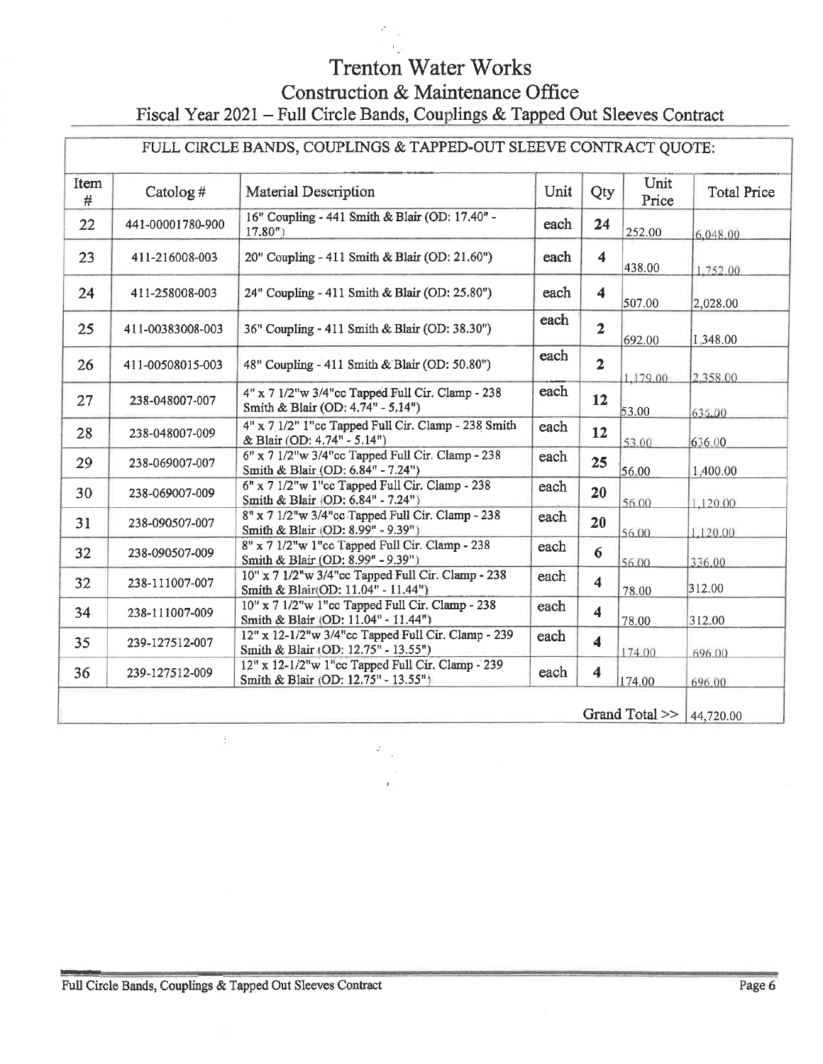| FULL CIRCLE BANDS, COUPLINGS & TAPPED-OUT SLEEVE CONTRACT QUOTE: |                  |                                                                                            |      |                         |               |                    |  |
|------------------------------------------------------------------|------------------|--------------------------------------------------------------------------------------------|------|-------------------------|---------------|--------------------|--|
| Item<br>#                                                        | Catolog#         | Material Description                                                                       | Unit | Qty                     | Unit<br>Price | <b>Total Price</b> |  |
| 22                                                               | 441-00001780-900 | 16" Coupling - 441 Smith & Blair (OD: 17.40" -<br>17.80 <sup>n</sup>                       | each | 24                      | 252.00        | 6,048.00           |  |
| 23                                                               | 411-216008-003   | 20" Coupling - 411 Smith & Blair (OD: 21.60")                                              | each | $\overline{\mathbf{4}}$ | 438.00        | 1,752.00           |  |
| 24                                                               | 411-258008-003   | 24" Coupling - 411 Smith & Blair (OD: 25.80")                                              | each | $\overline{\bf{4}}$     | 507.00        | 2,028.00           |  |
| 25                                                               | 411-00383008-003 | 36" Coupling - 411 Smith & Blair (OD: 38.30")                                              | each | $\overline{2}$          | 692.00        | 1,348.00           |  |
| 26                                                               | 411-00508015-003 | 48" Coupling - 411 Smith & Blair (OD: 50.80")                                              | each | $\overline{2}$          | 1,179.00      | 2.358.00           |  |
| 27                                                               | 238-048007-007   | 4" x 7 1/2"w 3/4"cc Tapped Full Cir. Clamp - 238<br>Smith & Blair (OD: 4.74" - 5.14")      | each | 12                      | 53.00         | 636.00             |  |
| 28                                                               | 238-048007-009   | 4" x 7 1/2" I"cc Tapped Full Cir. Clamp - 238 Smith<br>& Blair (OD: 4.74" - 5.14")         | each | 12                      | 53.00         | 636.00             |  |
| 29                                                               | 238-069007-007   | 6" x 7 1/2"w 3/4"cc Tapped Full Cir. Clamp - 238<br>Smith & Blair (OD: 6.84" - 7.24")      | each | 25                      | 56.00         | 1,400.00           |  |
| 30                                                               | 238-069007-009   | $6" \times 7$ 1/2"w 1"cc Tapped Full Cir. Clamp - 238<br>Smith & Blair (OD: 6.84" - 7.24") | each | 20                      | 56.00         | 1,120.00           |  |
| 31                                                               | 238-090507-007   | 8" x 7 1/2"w 3/4"cc Tapped Full Cir. Clamp - 238<br>Smith & Blair (OD: 8.99" - 9.39")      | each | 20                      | 56.00         | 1,120.00           |  |
| 32                                                               | 238-090507-009   | 8" x 7 1/2"w 1"cc Tapped Full Cir. Clamp - 238<br>Smith & Blair (OD: 8.99" - 9.39")        | each | 6                       | 56.00         | 336.00             |  |
| 32                                                               | 238-111007-007   | 10" x 7 1/2"w 3/4"cc Tapped Full Cir. Clamp - 238<br>Smith & Blair(OD: 11.04" - 11.44")    | each | $\overline{\bf{4}}$     | 78.00         | 312.00             |  |
| 34                                                               | 238-111007-009   | 10" x 7 1/2"w 1"cc Tapped Full Cir. Clamp - 238<br>Smith & Blair (OD: 11.04" - 11.44")     | each | $\blacktriangleleft$    | 78.00         | 312.00             |  |
| 35 <sub>1</sub>                                                  | 239-127512-007   | 12" x 12-1/2"w 3/4"cc Tapped Full Cir. Clamp - 239<br>Smith & Blair (OD: 12.75" - 13.55")  | each | $\overline{\mathbf{4}}$ | 174.00        | 696.00             |  |
| 36                                                               | 239-127512-009   | 12" x 12-1/2"w 1"cc Tapped Full Cir. Clamp - 239<br>Smith & Blair (OD: 12.75" - 13.55")    | each | $\overline{\bf{4}}$     | 174.00        | 696.00             |  |
| Grand Total >>                                                   |                  |                                                                                            |      |                         |               | 44,720.00          |  |

 $\mathcal{E}_{\mathcal{A}^{\text{in}}_{\text{out}}}$ 

÷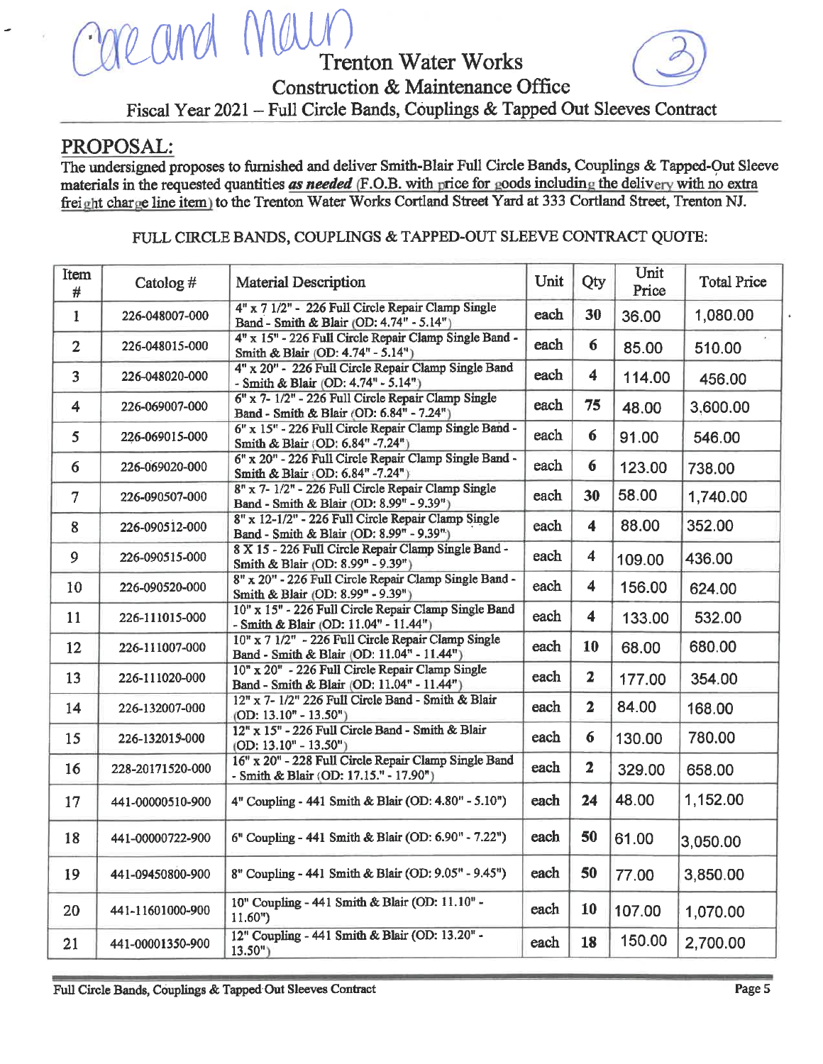## PROPOSAL:

The undersigned proposes to furnished and deliver Smith-Blair Full Circle Bands, Couplings & Tapped-Out Sleeve materials in the requested quantities as needed (F.O.B. with price for goods including the delivery with no extra freight charge line item) to the Trenton Water Works Cortland Street Yard at 333 Cortland Street, Trenton NJ.

#### FULL CIRCLE BANDS, COUPLINGS & TAPPED-OUT SLEEVE CONTRACT QUOTE:

| Item<br>#               | Catolog#         | <b>Material Description</b>                                                                      | Unit | Qty                     | Unit<br>Price | <b>Total Price</b> |
|-------------------------|------------------|--------------------------------------------------------------------------------------------------|------|-------------------------|---------------|--------------------|
| $\mathbf{I}$            | 226-048007-000   | 4" x 7 1/2" - 226 Full Circle Repair Clamp Single<br>Band - Smith & Blair (OD: 4.74" - 5.14")    | each | 30                      | 36.00         | 1,080.00           |
| $\overline{2}$          | 226-048015-000   | 4" x 15" - 226 Full Circle Repair Clamp Single Band -<br>Smith & Blair (OD: 4.74" - 5.14")       | each | 6                       | 85.00         | 510.00             |
| $\overline{\mathbf{3}}$ | 226-048020-000   | 4" x 20" - 226 Full Circle Repair Clamp Single Band<br>- Smith & Blair (OD: 4.74" - 5.14")       | each | 4                       | 114.00        | 456.00             |
| $\overline{\mathbf{4}}$ | 226-069007-000   | 6" x 7- 1/2" - 226 Full Circle Repair Clamp Single<br>Band - Smith & Blair (OD: 6.84" - 7.24")   | each | 75                      | 48.00         | 3,600.00           |
| 5                       | 226-069015-000   | 6" x 15" - 226 Full Circle Repair Clamp Single Band -<br>Smith & Blair (OD: 6.84" -7.24")        | each | 6                       | 91.00         | 546.00             |
| 6                       | 226-069020-000   | 6" x 20" - 226 Full Circle Repair Clamp Single Band -<br>Smith & Blair (OD: 6.84" -7.24"):       | each | 6                       | 123.00        | 738.00             |
| $\overline{7}$          | 226-090507-000   | 8" x 7- 1/2" - 226 Full Circle Repair Clamp Single<br>Band - Smith & Blair (OD: 8.99" - 9.39")   | each | 30                      | 58.00         | 1,740.00           |
| 8                       | 226-090512-000   | 8" x 12-1/2" - 226 Full Circle Repair Clamp Single<br>Band - Smith & Blair (OD: 8.99" - 9.39")   | each | $\overline{\bf{4}}$     | 88.00         | 352.00             |
| 9                       | 226-090515-000   | 8 X 15 - 226 Full Circle Repair Clamp Single Band -<br>Smith & Blair (OD: 8.99" - 9.39")         | each | 4                       | 109.00        | 436.00             |
| 10                      | 226-090520-000   | 8" x 20" - 226 Full Circle Repair Clamp Single Band -<br>Smith & Blair (OD: 8.99" - 9.39")       | each | 4                       | 156.00        | 624.00             |
| 11                      | 226-111015-000   | 10" x 15" - 226 Full Circle Repair Clamp Single Band<br>- Smith & Blair (OD: 11.04" - 11.44")    | each | $\overline{\bf{4}}$     | 133.00        | 532.00             |
| 12                      | 226-111007-000   | 10" x 7 1/2" - 226 Full Circle Repair Clamp Single<br>Band - Smith & Blair (OD: 11.04" - 11.44") | each | 10                      | 68.00         | 680.00             |
| 13                      | 226-111020-000   | 10" x 20" - 226 Full Circle Repair Clamp Single<br>Band - Smith & Blair (OD: 11.04" - 11.44")    | each | $\mathbf{z}$            | 177.00        | 354.00             |
| 14                      | 226-132007-000   | 12" x 7-1/2" 226 Full Circle Band - Smith & Blair<br>$(OD: 13.10" - 13.50")$                     | each | $\overline{2}$          | 84.00         | 168.00             |
| 15                      | 226-132015-000   | 12" x 15" - 226 Full Circle Band - Smith & Blair<br>$(OD: 13.10" - 13.50")$                      | each | $6\phantom{1}$          | 130.00        | 780.00             |
| 16                      | 228-20171520-000 | 16" x 20" - 228 Full Circle Repair Clamp Single Band                                             | each | $\overline{\mathbf{2}}$ | 329.00        | 658.00             |
| 17                      | 441-00000510-900 | - Smith & Blair (OD: 17.15." - 17.90")<br>4" Coupling - 441 Smith & Blair (OD: 4.80" - 5.10")    | each | 24                      | 48.00         | 1,152.00           |
|                         |                  |                                                                                                  |      |                         |               |                    |
| 18                      | 441-00000722-900 | 6" Coupling - 441 Smith & Blair (OD: 6.90" - 7.22")                                              | each | 50                      | 61.00         | 3,050.00           |
| 19                      | 441-09450800-900 | 8" Coupling - 441 Smith & Blair (OD: 9.05" - 9.45")                                              | each | 50                      | 77.00         | 3,850.00           |
| 20                      | 441-11601000-900 | 10" Coupling - 441 Smith & Blair (OD: 11.10" -<br>11.60"                                         | each | 10                      | 107.00        | 1,070.00           |
| 21                      | 441-00001350-900 | 12" Coupling - 441 Smith & Blair (OD: 13.20" -<br>$13.50n$ )                                     | each | 18                      | 150.00        | 2,700.00           |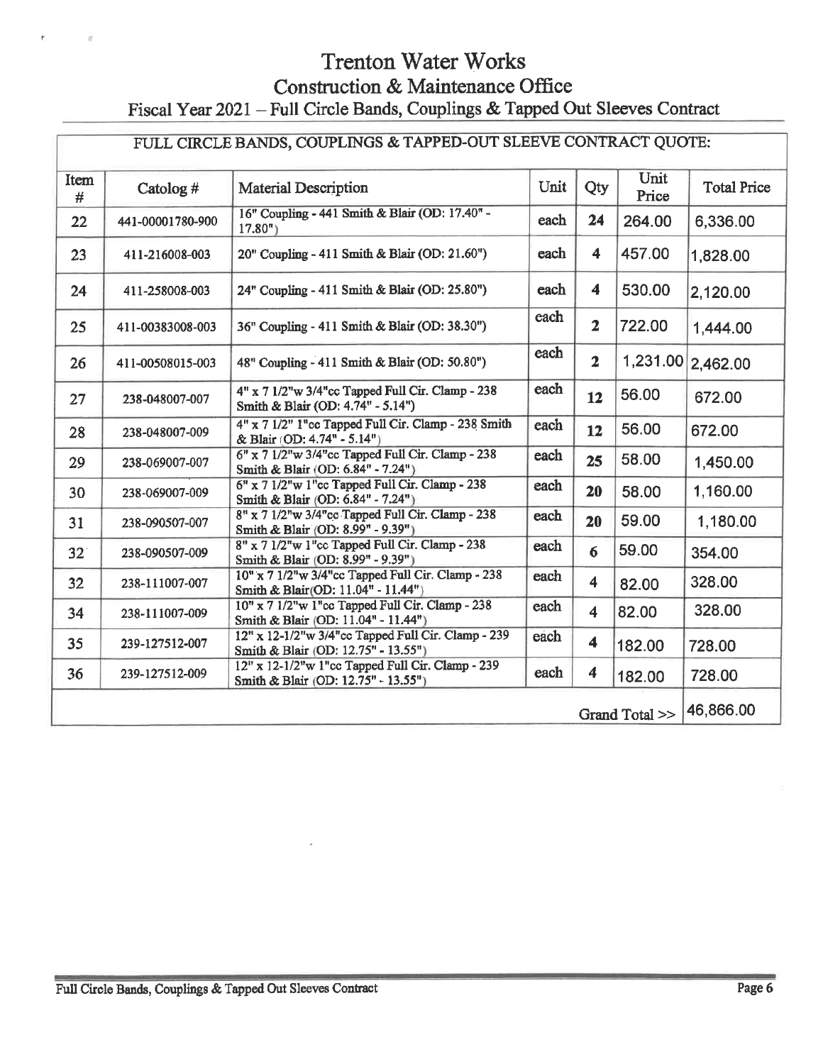# **Trenton Water Works** Construction & Maintenance Office

# Fiscal Year 2021 - Full Circle Bands, Couplings & Tapped Out Sleeves Contract

| FULL CIRCLE BANDS, COUPLINGS & TAPPED-OUT SLEEVE CONTRACT QUOTE: |                             |                                                                                           |      |                  |               |                    |
|------------------------------------------------------------------|-----------------------------|-------------------------------------------------------------------------------------------|------|------------------|---------------|--------------------|
| Item<br>#                                                        | Catolog #                   | <b>Material Description</b>                                                               | Unit | Qty              | Unit<br>Price | <b>Total Price</b> |
| 22                                                               | 441-00001780-900            | 16" Coupling - 441 Smith & Blair (OD: 17.40" -<br>$17.80$ <sup>"</sup> )                  | each | 24               | 264.00        | 6,336.00           |
| 23                                                               | 411-216008-003              | 20" Coupling - 411 Smith & Blair (OD: 21.60")                                             | each | 4                | 457.00        | 1,828.00           |
| 24                                                               | 411-258008-003              | 24" Coupling - 411 Smith & Blair (OD: 25.80")                                             | each | 4                | 530.00        | 2,120.00           |
| 25                                                               | 411-00383008-003            | 36" Coupling - 411 Smith & Blair (OD: 38.30")                                             | each | $\mathbf{2}$     | 722.00        | 1,444.00           |
| 26                                                               | 411-00508015-003            | 48" Coupling - 411 Smith & Blair (OD: 50.80")                                             | each | $\overline{2}$   |               | 1,231.00 2,462.00  |
| 27                                                               | 238-048007-007              | 4" x 7 1/2"w 3/4"cc Tapped Full Cir. Clamp - 238<br>Smith & Blair (OD: 4.74" - 5.14")     | each | 12               | 56.00         | 672.00             |
| 28                                                               | 238-048007-009              | 4" x 7 1/2" 1"cc Tapped Full Cir. Clamp - 238 Smith<br>& Blair (OD: 4.74" - 5.14")        | each | 12               | 56.00         | 672.00             |
| 29                                                               | 238-069007-007              | 6" x 7 1/2"w 3/4"cc Tapped Full Cir. Clamp - 238<br>Smith & Blair (OD: 6.84" - 7.24")     | each | 25               | 58.00         | 1,450.00           |
| 30                                                               | 238-069007-009              | 6" x 7 1/2"w 1"cc Tapped Full Cir. Clamp - 238<br>Smith & Blair (OD: 6.84" - 7.24")       | each | 20               | 58.00         | 1,160.00           |
| 31                                                               | 238-090507-007              | 8" x 7 1/2"w 3/4"cc Tapped Full Cir. Clamp - 238<br>Smith & Blair (OD: 8.99" - 9.39")     | each | 20               | 59.00         | 1,180.00           |
| 32 <sup>°</sup>                                                  | 238-090507-009              | 8" x 7 1/2"w 1"cc Tapped Full Cir. Clamp - 238<br>Smith & Blair (OD: 8.99" - 9.39")       | each | 6                | 59.00         | 354.00             |
| 32                                                               | 238-111007-007              | 10" x 7 1/2"w 3/4"cc Tapped Full Cir. Clamp - 238<br>Smith & Blair(OD: 11.04" - 11.44")   | each | 4                | 82.00         | 328.00             |
| 34                                                               | 238-111007-009              | 10" x 7 1/2"w 1"cc Tapped Full Cir. Clamp - 238<br>Smith & Blair (OD: 11.04" - 11.44")    | each | 4                | 82.00         | 328.00             |
| 35                                                               | 239-127512-007              | 12" x 12-1/2"w 3/4"cc Tapped Full Cir. Clamp - 239<br>Smith & Blair (OD: 12.75" - 13.55") | each | 4                | 182.00        | 728.00             |
| 36                                                               | 239-127512-009              | 12" x 12-1/2"w 1"cc Tapped Full Cir. Clamp - 239<br>Smith & Blair (OD: 12.75" - 13.55")   | each | $\boldsymbol{4}$ | 182.00        | 728.00             |
|                                                                  | 46,866.00<br>Grand Total >> |                                                                                           |      |                  |               |                    |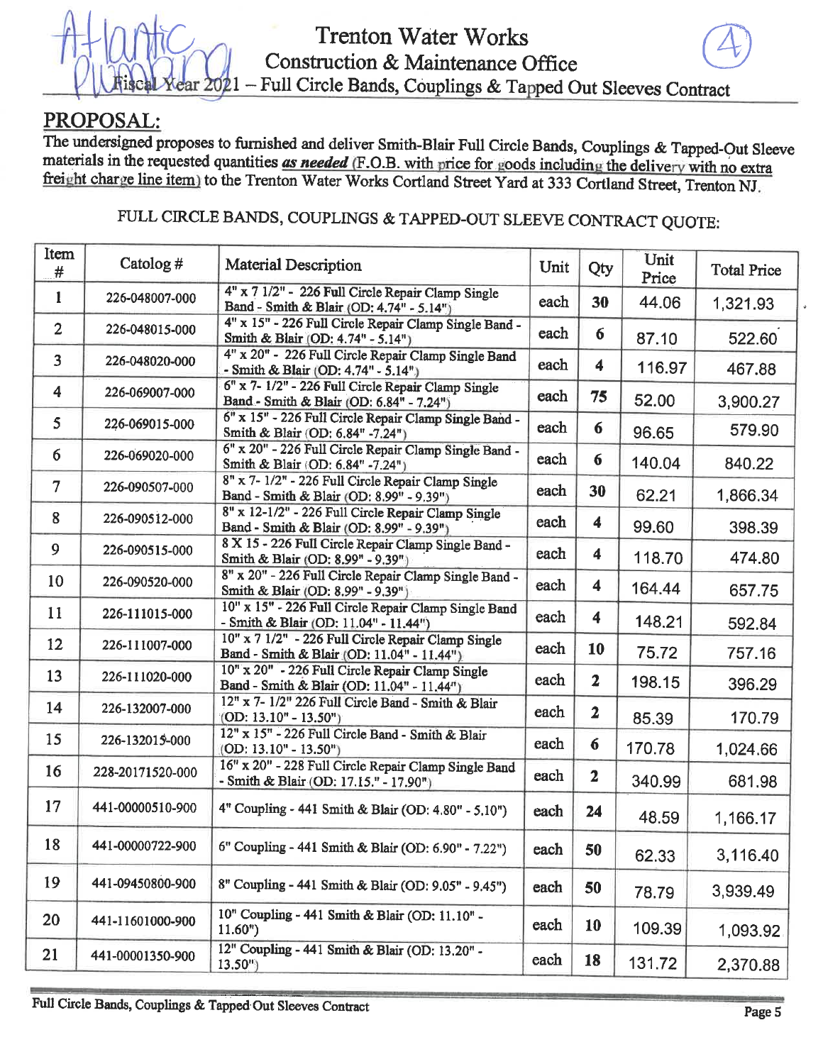# ear 2021

## PROPOSAL:

The undersigned proposes to furnished and deliver Smith-Blair Full Circle Bands, Couplings & Tapped-Out Sleeve materials in the requested quantities as needed (F.O.B. with price for goods including the delivery with no extra freight charge line item) to the Trenton Water Works Cortland Street Yard at 333 Cortland Street, Trenton NJ.

# FULL CIRCLE BANDS, COUPLINGS & TAPPED-OUT SLEEVE CONTRACT QUOTE:

| Item<br>#      | Catolog $#$      | <b>Material Description</b>                                                                      | Unit | Qty                  | Unit<br>Price | <b>Total Price</b> |
|----------------|------------------|--------------------------------------------------------------------------------------------------|------|----------------------|---------------|--------------------|
| 1              | 226-048007-000   | 4" x 7 1/2" - 226 Full Circle Repair Clamp Single<br>Band - Smith & Blair (OD: 4.74" - 5.14")    | each | 30                   | 44.06         | 1,321.93           |
| $\overline{2}$ | 226-048015-000   | 4" x 15" - 226 Full Circle Repair Clamp Single Band -<br>Smith & Blair (OD: 4.74" - 5.14")       | each | 6                    | 87.10         | 522.60             |
| $\overline{3}$ | 226-048020-000   | 4" x 20" - 226 Full Circle Repair Clamp Single Band<br>- Smith & Blair (OD: 4.74" - 5.14")       | each | $\overline{\bf{4}}$  | 116.97        | 467.88             |
| 4              | 226-069007-000   | 6" x 7- 1/2" - 226 Full Circle Repair Clamp Single<br>Band - Smith & Blair (OD: 6.84" - 7.24")   | each | 75                   | 52.00         | 3,900.27           |
| 5              | 226-069015-000   | 6" x 15" - 226 Full Circle Repair Clamp Single Band -<br>Smith & Blair (OD: 6.84" -7.24")        | each | 6                    | 96.65         | 579.90             |
| 6              | 226-069020-000   | 6" x 20" - 226 Full Circle Repair Clamp Single Band -<br>Smith & Blair (OD: 6.84" -7.24")        | each | 6                    | 140.04        | 840.22             |
| $\overline{7}$ | 226-090507-000   | 8" x 7-1/2" - 226 Full Circle Repair Clamp Single<br>Band - Smith & Blair (OD: 8.99" - 9.39")    | each | 30                   | 62.21         | 1,866.34           |
| 8              | 226-090512-000   | 8" x 12-1/2" - 226 Full Circle Repair Clamp Single<br>Band - Smith & Blair (OD: 8.99" - 9.39")   | each | $\blacktriangleleft$ | 99.60         | 398.39             |
| 9              | 226-090515-000   | 8 X 15 - 226 Full Circle Repair Clamp Single Band -<br>Smith & Blair (OD: 8.99" - 9.39")         | each | 4                    | 118.70        | 474.80             |
| 10             | 226-090520-000   | 8" x 20" - 226 Full Circle Repair Clamp Single Band -<br>Smith & Blair (OD: 8.99" - 9.39")       | each | 4                    | 164.44        | 657.75             |
| 11             | 226-111015-000   | 10" x 15" - 226 Full Circle Repair Clamp Single Band<br>- Smith & Blair (OD: 11.04" - 11.44")    | each | 4                    | 148.21        | 592.84             |
| 12             | 226-111007-000   | 10" x 7 1/2" - 226 Full Circle Repair Clamp Single<br>Band - Smith & Blair (OD: 11.04" - 11.44") | each | 10                   | 75.72         | 757.16             |
| 13             | 226-111020-000   | 10" x 20" - 226 Full Circle Repair Clamp Single<br>Band - Smith & Blair (OD: 11.04" - 11.44").   | each | $\overline{2}$       | 198.15        | 396.29             |
| 14             | 226-132007-000   | 12" x 7- 1/2" 226 Full Circle Band - Smith & Blair<br>$(OD: 13.10" - 13.50")$                    | each | $\overline{2}$       | 85.39         | 170.79             |
| 15             | 226-132015-000   | 12" x 15" - 226 Full Circle Band - Smith & Blair<br>$(OD: 13.10n - 13.50n)$                      | each | 6                    | 170.78        | 1,024.66           |
| 16             | 228-20171520-000 | 16" x 20" - 228 Full Circle Repair Clamp Single Band<br>- Smith & Blair (OD: 17.15." - 17.90")   | each | $\overline{2}$       | 340.99        | 681.98             |
| 17             | 441-00000510-900 | 4" Coupling - 441 Smith & Blair (OD: 4.80" - 5.10")                                              | each | 24                   | 48.59         | 1,166.17           |
| 18             | 441-00000722-900 | 6" Coupling - 441 Smith & Blair (OD: 6.90" - 7.22")                                              | each | 50                   | 62.33         | 3,116.40           |
| 19             | 441-09450800-900 | 8" Coupling - 441 Smith & Blair (OD: 9.05" - 9.45")                                              | each | 50                   | 78.79         | 3,939.49           |
| 20             | 441-11601000-900 | 10" Coupling - 441 Smith & Blair (OD: 11.10" -<br>11.60"                                         | each | 10                   | 109.39        | 1,093.92           |
| 21             | 441-00001350-900 | 12" Coupling - 441 Smith & Blair (OD: 13.20" -<br>$13.50^{\circ}$                                | each | 18                   | 131.72        | 2,370.88           |